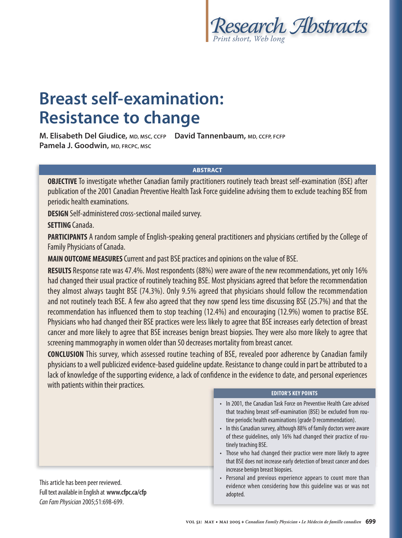

# **Breast self-examination: Resistance to change**

**M. Elisabeth Del Giudice, MD, MSC, CCFP David Tannenbaum, MD, CCFP, FCFP Pamela J. Goodwin, MD, FRCPC, MSC**

#### **ABSTRACT**

**OBJECTIVE** To investigate whether Canadian family practitioners routinely teach breast self-examination (BSE) after publication of the 2001 Canadian Preventive Health Task Force guideline advising them to exclude teaching BSE from periodic health examinations.

**DESIGN** Self-administered cross-sectional mailed survey.

**SETTING** Canada.

**PARTICIPANTS** A random sample of English-speaking general practitioners and physicians certified by the College of Family Physicians of Canada.

**MAIN OUTCOME MEASURES** Current and past BSE practices and opinions on the value of BSE.

**RESULTS** Response rate was 47.4%. Most respondents (88%) were aware of the new recommendations, yet only 16% had changed their usual practice of routinely teaching BSE. Most physicians agreed that before the recommendation they almost always taught BSE (74.3%). Only 9.5% agreed that physicians should follow the recommendation and not routinely teach BSE. A few also agreed that they now spend less time discussing BSE (25.7%) and that the recommendation has influenced them to stop teaching (12.4%) and encouraging (12.9%) women to practise BSE. Physicians who had changed their BSE practices were less likely to agree that BSE increases early detection of breast cancer and more likely to agree that BSE increases benign breast biopsies. They were also more likely to agree that screening mammography in women older than 50 decreases mortality from breast cancer.

**CONCLUSION** This survey, which assessed routine teaching of BSE, revealed poor adherence by Canadian family physicians to a well publicized evidence-based guideline update. Resistance to change could in part be attributed to a lack of knowledge of the supporting evidence, a lack of confidence in the evidence to date, and personal experiences with patients within their practices.

This article has been peer reviewed. Full text available in English at **www.cfpc.ca/cfp** Can Fam Physician 2005;51:698-699.

#### **EDITOR'S KEY POINTS**

- In 2001, the Canadian Task Force on Preventive Health Care advised that teaching breast self-examination (BSE) be excluded from routine periodic health examinations (grade D recommendation).
- In this Canadian survey, although 88% of family doctors were aware of these guidelines, only 16% had changed their practice of routinely teaching BSE.
- Those who had changed their practice were more likely to agree that BSE does not increase early detection of breast cancer and does increase benign breast biopsies.
- Personal and previous experience appears to count more than evidence when considering how this guideline was or was not adopted.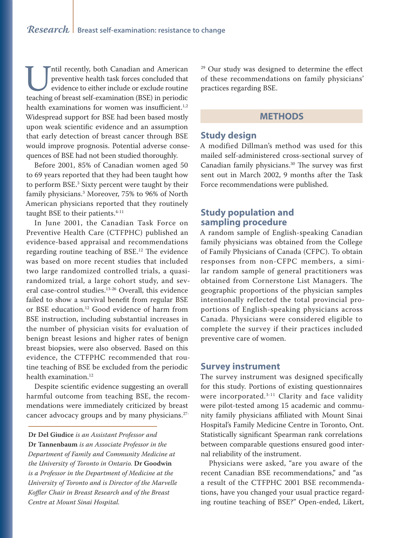Intil recently, both Canadian and American preventive health task forces concluded that evidence to either include or exclude routine teaching of breast self-examination (BSE) in periodic preventive health task forces concluded that evidence to either include or exclude routine health examinations for women was insufficient.<sup>1,2</sup> Widespread support for BSE had been based mostly upon weak scientific evidence and an assumption that early detection of breast cancer through BSE would improve prognosis. Potential adverse consequences of BSE had not been studied thoroughly.

Before 2001, 85% of Canadian women aged 50 to 69 years reported that they had been taught how to perform BSE.3 Sixty percent were taught by their family physicians.3 Moreover, 75% to 96% of North American physicians reported that they routinely taught BSE to their patients.<sup>4-11</sup>

In June 2001, the Canadian Task Force on Preventive Health Care (CTFPHC) published an evidence-based appraisal and recommendations regarding routine teaching of BSE.12 The evidence was based on more recent studies that included two large randomized controlled trials, a quasirandomized trial, a large cohort study, and several case-control studies.<sup>13-26</sup> Overall, this evidence failed to show a survival benefit from regular BSE or BSE education.<sup>12</sup> Good evidence of harm from BSE instruction, including substantial increases in the number of physician visits for evaluation of benign breast lesions and higher rates of benign breast biopsies, were also observed. Based on this evidence, the CTFPHC recommended that routine teaching of BSE be excluded from the periodic health examination.<sup>12</sup>

Despite scientific evidence suggesting an overall harmful outcome from teaching BSE, the recommendations were immediately criticized by breast cancer advocacy groups and by many physicians.27-

**Dr Del Giudice** *is an Assistant Professor and* 

**Dr Tannenbaum** *is an Associate Professor in the Department of Family and Community Medicine at the University of Toronto in Ontario.* **Dr Goodwin** *is a Professor in the Department of Medicine at the University of Toronto and is Director of the Marvelle Koffler Chair in Breast Research and of the Breast Centre at Mount Sinai Hospital.*

29 Our study was designed to determine the effect of these recommendations on family physicians' practices regarding BSE.

## **METHODS**

#### **Study design**

A modified Dillman's method was used for this mailed self-administered cross-sectional survey of Canadian family physicians.<sup>30</sup> The survey was first sent out in March 2002, 9 months after the Task Force recommendations were published.

#### **Study population and sampling procedure**

A random sample of English-speaking Canadian family physicians was obtained from the College of Family Physicians of Canada (CFPC). To obtain responses from non-CFPC members, a similar random sample of general practitioners was obtained from Cornerstone List Managers. The geographic proportions of the physician samples intentionally reflected the total provincial proportions of English-speaking physicians across Canada. Physicians were considered eligible to complete the survey if their practices included preventive care of women.

#### **Survey instrument**

The survey instrument was designed specifically for this study. Portions of existing questionnaires were incorporated.<sup>3-11</sup> Clarity and face validity were pilot-tested among 15 academic and community family physicians affiliated with Mount Sinai Hospital's Family Medicine Centre in Toronto, Ont. Statistically significant Spearman rank correlations between comparable questions ensured good internal reliability of the instrument.

Physicians were asked, "are you aware of the recent Canadian BSE recommendations," and "as a result of the CTFPHC 2001 BSE recommendations, have you changed your usual practice regarding routine teaching of BSE?" Open-ended, Likert,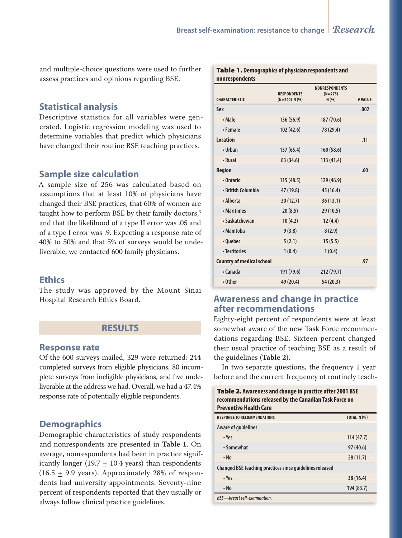Table 1. **Demographics of physician respondents and** 

and multiple-choice questions were used to further assess practices and opinions regarding BSE.

## **Statistical analysis**

Descriptive statistics for all variables were generated. Logistic regression modeling was used to determine variables that predict which physicians have changed their routine BSE teaching practices.

## **Sample size calculation**

A sample size of 256 was calculated based on assumptions that at least 10% of physicians have changed their BSE practices, that 60% of women are taught how to perform BSE by their family doctors,<sup>3</sup> and that the likelihood of a type II error was .05 and of a type I error was .9. Expecting a response rate of 40% to 50% and that 5% of surveys would be undeliverable, we contacted 600 family physicians.

#### **Ethics**

The study was approved by the Mount Sinai Hospital Research Ethics Board.

# **RESULTS**

#### **Response rate**

Of the 600 surveys mailed, 329 were returned: 244 completed surveys from eligible physicians, 80 incomplete surveys from ineligible physicians, and five undeliverable at the address we had. Overall, we had a 47.4% response rate of potentially eligible respondents.

## **Demographics**

Demographic characteristics of study respondents and nonrespondents are presented in **Table 1**. On average, nonrespondents had been in practice significantly longer (19.7  $\pm$  10.4 years) than respondents  $(16.5 \pm 9.9 \text{ years})$ . Approximately 28% of respondents had university appointments. Seventy-nine percent of respondents reported that they usually or always follow clinical practice guidelines.

| nonrespondents                   |                                       |                                             |               |
|----------------------------------|---------------------------------------|---------------------------------------------|---------------|
| <b>CHARACTERISTIC</b>            | <b>RESPONDENTS</b><br>$(N=240) N$ (%) | <b>NONRESPONDENTS</b><br>$(N=275)$<br>N(% ) | <b>PVALUE</b> |
| Sex                              |                                       |                                             | .002          |
| • Male                           | 136 (56.9)                            | 187 (70.6)                                  |               |
| • Female                         | 102 (42.6)                            | 78 (29.4)                                   |               |
| <b>Location</b>                  |                                       |                                             | .11           |
| • Urhan                          | 157(65.4)                             | 160(58.6)                                   |               |
| • Rural                          | 83 (34.6)                             | 113(41.4)                                   |               |
| <b>Region</b>                    |                                       |                                             | .60           |
| • Ontario                        | 115(48.5)                             | 129 (46.9)                                  |               |
| • British Columbia               | 47 (19.8)                             | 45 (16.4)                                   |               |
| • Alberta                        | 30(12.7)                              | 36(13.1)                                    |               |
| • Maritimes                      | 20(8.5)                               | 29 (10.5)                                   |               |
| • Saskatchewan                   | 10(4.2)                               | 12(4.4)                                     |               |
| • Manitoba                       | 9(3.8)                                | 8(2.9)                                      |               |
| • Quebec                         | 5(2.1)                                | 15(5.5)                                     |               |
| • Territories                    | 1(0.4)                                | 1(0.4)                                      |               |
| <b>Country of medical school</b> |                                       |                                             | .97           |
| • Canada                         | 191 (79.6)                            | 212 (79.7)                                  |               |
| $\cdot$ Other                    | 49 (20.4)                             | 54 (20.3)                                   |               |

# **Awareness and change in practice after recommendations**

Eighty-eight percent of respondents were at least somewhat aware of the new Task Force recommendations regarding BSE. Sixteen percent changed their usual practice of teaching BSE as a result of the guidelines (**Table 2**).

In two separate questions, the frequency 1 year before and the current frequency of routinely teach-

| Table 2. Awareness and change in practice after 2001 BSE<br>recommendations released by the Canadian Task Force on<br><b>Preventive Health Care</b> |                    |  |  |
|-----------------------------------------------------------------------------------------------------------------------------------------------------|--------------------|--|--|
| <b>RESPONSE TO RECOMMENDATIONS</b>                                                                                                                  | <b>TOTAL N (%)</b> |  |  |
| Aware of guidelines                                                                                                                                 |                    |  |  |
| • Yes                                                                                                                                               | 114(47.7)          |  |  |
| • Somewhat                                                                                                                                          | 97 (40.6)          |  |  |
| $\cdot$ No                                                                                                                                          | 28(11.7)           |  |  |
| Changed BSE teaching practices since quidelines released                                                                                            |                    |  |  |
| • Yes                                                                                                                                               | 38(16.4)           |  |  |
| $\cdot$ No                                                                                                                                          | 194(83.7)          |  |  |
| <b>BSE-breast self-examination.</b>                                                                                                                 |                    |  |  |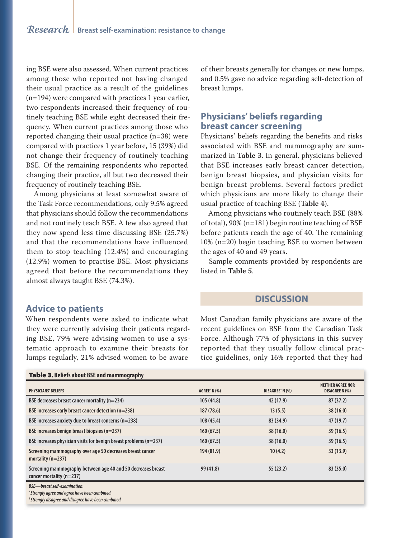ing BSE were also assessed. When current practices among those who reported not having changed their usual practice as a result of the guidelines (n=194) were compared with practices 1 year earlier, two respondents increased their frequency of routinely teaching BSE while eight decreased their frequency. When current practices among those who reported changing their usual practice (n=38) were compared with practices 1 year before, 15 (39%) did not change their frequency of routinely teaching BSE. Of the remaining respondents who reported changing their practice, all but two decreased their frequency of routinely teaching BSE.

Among physicians at least somewhat aware of the Task Force recommendations, only 9.5% agreed that physicians should follow the recommendations and not routinely teach BSE. A few also agreed that they now spend less time discussing BSE (25.7%) and that the recommendations have influenced them to stop teaching (12.4%) and encouraging (12.9%) women to practise BSE. Most physicians agreed that before the recommendations they almost always taught BSE (74.3%).

#### of their breasts generally for changes or new lumps, and 0.5% gave no advice regarding self-detection of breast lumps.

# **Physicians' beliefs regarding breast cancer screening**

Physicians' beliefs regarding the benefits and risks associated with BSE and mammography are summarized in **Table 3**. In general, physicians believed that BSE increases early breast cancer detection, benign breast biopsies, and physician visits for benign breast problems. Several factors predict which physicians are more likely to change their usual practice of teaching BSE (**Table 4**).

Among physicians who routinely teach BSE (88% of total), 90% (n=181) begin routine teaching of BSE before patients reach the age of 40. The remaining 10% (n=20) begin teaching BSE to women between the ages of 40 and 49 years.

Sample comments provided by respondents are listed in **Table 5**.

## **DISCUSSION**

Most Canadian family physicians are aware of the recent guidelines on BSE from the Canadian Task Force. Although 77% of physicians in this survey reported that they usually follow clinical practice guidelines, only 16% reported that they had

| <b>TUBIC STUCKS AND AT DIE UND MANUTEURING</b>                                           |                      |                             |                                                   |
|------------------------------------------------------------------------------------------|----------------------|-----------------------------|---------------------------------------------------|
| <b>PHYSICIANS' BELIEFS</b>                                                               | <b>AGREE</b> * N (%) | DISAGREE <sup>†</sup> N (%) | <b>NEITHER AGREE NOR</b><br><b>DISAGREE N (%)</b> |
| BSE decreases breast cancer mortality (n=234)                                            | 105(44.8)            | 42 (17.9)                   | 87 (37.2)                                         |
| BSE increases early breast cancer detection (n=238)                                      | 187(78.6)            | 13(5.5)                     | 38(16.0)                                          |
| BSE increases anxiety due to breast concerns (n=238)                                     | 108(45.4)            | 83 (34.9)                   | 47 (19.7)                                         |
| BSE increases benign breast biopsies (n=237)                                             | 160(67.5)            | 38(16.0)                    | 39(16.5)                                          |
| BSE increases physician visits for benign breast problems $(n=237)$                      | 160(67.5)            | 38(16.0)                    | 39(16.5)                                          |
| Screening mammography over age 50 decreases breast cancer<br>mortality $(n=237)$         | 194 (81.9)           | 10(4.2)                     | 33(13.9)                                          |
| Screening mammography between age 40 and 50 decreases breast<br>cancer mortality (n=237) | 99 (41.8)            | 55(23.2)                    | 83 (35.0)                                         |
| <b>BSE-breast self-examination.</b><br>"Strongly agree and agree have been combined.     |                      |                             |                                                   |

**† Strongly disagree and disagree have been combined.**

#### **Advice to patients**

Table 3. **Beliefs about BSE and mammography**

When respondents were asked to indicate what they were currently advising their patients regarding BSE, 79% were advising women to use a systematic approach to examine their breasts for lumps regularly, 21% advised women to be aware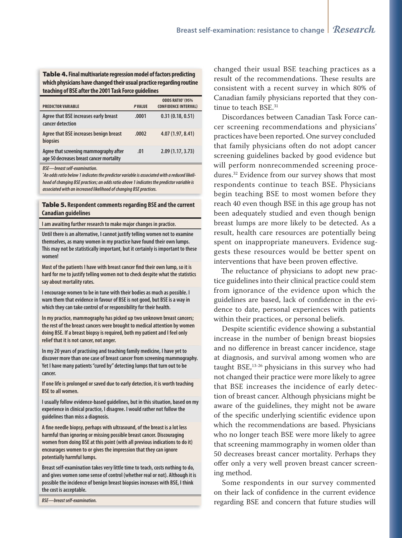Table 4. **Final multivariate regression model of factors predicting which physicians have changed their usual practice regarding routine teaching of BSE after the 2001 Task Force guidelines**

| <b>PREDICTOR VARIABLE</b>                                                          | <b>PVALUE</b> | ODDS RATIO* (95%<br><b>CONFIDENCE INTERVAL)</b> |
|------------------------------------------------------------------------------------|---------------|-------------------------------------------------|
| Agree that BSE increases early breast<br>cancer detection                          | .0001         | 0.31(0.18, 0.51)                                |
| Agree that BSE increases benign breast<br>biopsies                                 | .0002         | 4.07 (1.97, 8.41)                               |
| Agree that screening mammography after<br>age 50 decreases breast cancer mortality | .01           | 2.09(1.17, 3.73)                                |

**BSE—breast self-examination.**

**\* An odds ratio below 1 indicates the predictor variable is associated with a reduced likelihood of changing BSE practices; an odds ratio above 1 indicates the predictor variable is associated with an increased likelihood of changing BSE practices.**

Table 5. **Respondent comments regarding BSE and the current Canadian guidelines**

**I am awaiting further research to make major changes in practice.**

**Until there is an alternative, I cannot justify telling women not to examine themselves, as many women in my practice have found their own lumps. This may not be statistically important, but it certainly is important to these women!**

Most of the patients I have with breast cancer find their own lump, so it is **hard for me to justify telling women not to check despite what the statistics say about mortality rates.**

**I encourage women to be in tune with their bodies as much as possible. I warn them that evidence in favour of BSE is not good, but BSE is a way in which they can take control of or responsibility for their health.**

**In my practice, mammography has picked up two unknown breast cancers; the rest of the breast cancers were brought to medical attention by women doing BSE. If a breast biopsy is required, both my patient and I feel only relief that it is not cancer, not anger.**

**In my 20 years of practising and teaching family medicine, I have yet to discover more than one case of breast cancer from screening mammography. Yet I have many patients "cured by" detecting lumps that turn out to be cancer.**

**If one life is prolonged or saved due to early detection, it is worth teaching BSE to all women.**

**I usually follow evidence-based guidelines, but in this situation, based on my experience in clinical practice, I disagree. I would rather not follow the guidelines than miss a diagnosis.**

A fine needle biopsy, perhaps with ultrasound, of the breast is a lot less **harmful than ignoring or missing possible breast cancer. Discouraging women from doing BSE at this point (with all previous indications to do it) encourages women to or gives the impression that they can ignore potentially harmful lumps.**

**Breast self-examination takes very little time to teach, costs nothing to do, and gives women some sense of control (whether real or not). Although it is possible the incidence of benign breast biopsies increases with BSE, I think the cost is acceptable.**

**BSE—breast self-examination.**

changed their usual BSE teaching practices as a result of the recommendations. These results are consistent with a recent survey in which 80% of Canadian family physicians reported that they continue to teach BSE.<sup>31</sup>

Discordances between Canadian Task Force cancer screening recommendations and physicians' practices have been reported. One survey concluded that family physicians often do not adopt cancer screening guidelines backed by good evidence but will perform nonrecommended screening procedures.32 Evidence from our survey shows that most respondents continue to teach BSE. Physicians begin teaching BSE to most women before they reach 40 even though BSE in this age group has not been adequately studied and even though benign breast lumps are more likely to be detected. As a result, health care resources are potentially being spent on inappropriate maneuvers. Evidence suggests these resources would be better spent on interventions that have been proven effective.

The reluctance of physicians to adopt new practice guidelines into their clinical practice could stem from ignorance of the evidence upon which the guidelines are based, lack of confidence in the evidence to date, personal experiences with patients within their practices, or personal beliefs.

Despite scientific evidence showing a substantial increase in the number of benign breast biopsies and no difference in breast cancer incidence, stage at diagnosis, and survival among women who are taught BSE,<sup>13-26</sup> physicians in this survey who had not changed their practice were more likely to agree that BSE increases the incidence of early detection of breast cancer. Although physicians might be aware of the guidelines, they might not be aware of the specific underlying scientific evidence upon which the recommendations are based. Physicians who no longer teach BSE were more likely to agree that screening mammography in women older than 50 decreases breast cancer mortality. Perhaps they offer only a very well proven breast cancer screening method.

Some respondents in our survey commented on their lack of confidence in the current evidence regarding BSE and concern that future studies will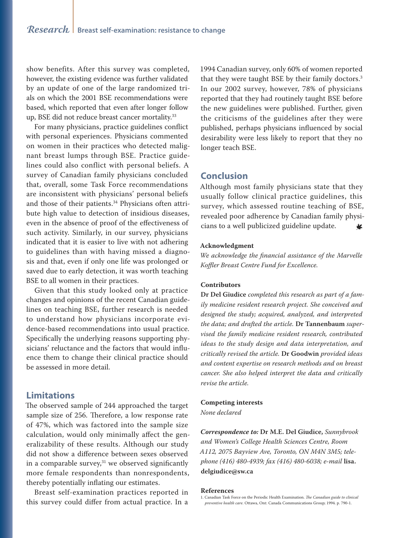show benefits. After this survey was completed, however, the existing evidence was further validated by an update of one of the large randomized trials on which the 2001 BSE recommendations were based, which reported that even after longer follow up, BSE did not reduce breast cancer mortality.<sup>33</sup>

For many physicians, practice guidelines conflict with personal experiences. Physicians commented on women in their practices who detected malignant breast lumps through BSE. Practice guidelines could also conflict with personal beliefs. A survey of Canadian family physicians concluded that, overall, some Task Force recommendations are inconsistent with physicians' personal beliefs and those of their patients.<sup>34</sup> Physicians often attribute high value to detection of insidious diseases, even in the absence of proof of the effectiveness of such activity. Similarly, in our survey, physicians indicated that it is easier to live with not adhering to guidelines than with having missed a diagnosis and that, even if only one life was prolonged or saved due to early detection, it was worth teaching BSE to all women in their practices.

Given that this study looked only at practice changes and opinions of the recent Canadian guidelines on teaching BSE, further research is needed to understand how physicians incorporate evidence-based recommendations into usual practice. Specifically the underlying reasons supporting physicians' reluctance and the factors that would influence them to change their clinical practice should be assessed in more detail.

#### **Limitations**

The observed sample of 244 approached the target sample size of 256. Therefore, a low response rate of 47%, which was factored into the sample size calculation, would only minimally affect the generalizability of these results. Although our study did not show a difference between sexes observed in a comparable survey, $31$  we observed significantly more female respondents than nonrespondents, thereby potentially inflating our estimates.

Breast self-examination practices reported in this survey could differ from actual practice. In a 1994 Canadian survey, only 60% of women reported that they were taught BSE by their family doctors.<sup>3</sup> In our 2002 survey, however, 78% of physicians reported that they had routinely taught BSE before the new guidelines were published. Further, given the criticisms of the guidelines after they were published, perhaps physicians influenced by social desirability were less likely to report that they no longer teach BSE.

# **Conclusion**

Although most family physicians state that they usually follow clinical practice guidelines, this survey, which assessed routine teaching of BSE, revealed poor adherence by Canadian family physicians to a well publicized guideline update. ₩

#### **Acknowledgment**

*We acknowledge the financial assistance of the Marvelle Koffler Breast Centre Fund for Excellence.*

#### **Contributors**

**Dr Del Giudice** *completed this research as part of a family medicine resident research project. She conceived and designed the study; acquired, analyzed, and interpreted the data; and drafted the article.* **Dr Tannenbaum** *supervised the family medicine resident research, contributed ideas to the study design and data interpretation, and critically revised the article.* **Dr Goodwin** *provided ideas and content expertise on research methods and on breast cancer. She also helped interpret the data and critically revise the article.*

#### **Competing interests**

*None declared*

*Correspondence to:* **Dr M.E. Del Giudice,** *Sunnybrook and Women's College Health Sciences Centre, Room A112, 2075 Bayview Ave, Toronto, ON M4N 3M5; telephone (416) 480-4939; fax (416) 480-6038; e-mail* **lisa. delgiudice@sw.ca**

#### **References**

1. Canadian Task Force on the Periodic Health Examination. *The Canadian guide to clinical preventive health care*. Ottawa, Ont: Canada Communications Group; 1994. p. 790-1.